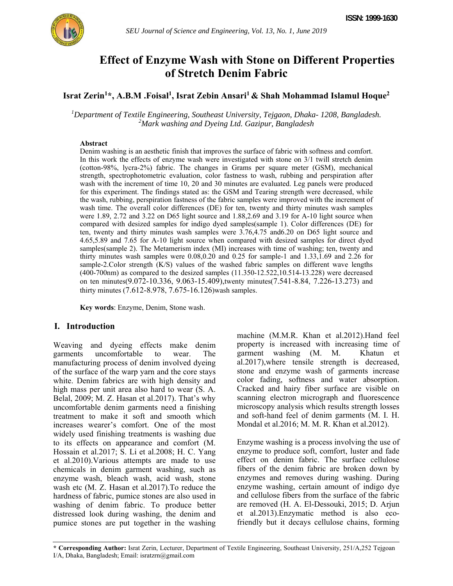

# **Effect of Enzyme Wash with Stone on Different Properties of Stretch Denim Fabric**

Israt Zerin<sup>1\*</sup>, A.B.M .Foisal<sup>1</sup>, Israt Zebin Ansari<sup>1</sup> & Shah Mohammad Islamul Hoque<sup>2</sup>

*1 Department of Textile Engineering, Southeast University, Tejgaon, Dhaka- 1208, Bangladesh. 2 Mark washing and Dyeing Ltd. Gazipur, Bangladesh* 

### **Abstract**

Denim washing is an aesthetic finish that improves the surface of fabric with softness and comfort. In this work the effects of enzyme wash were investigated with stone on 3/1 twill stretch denim (cotton-98%, lycra-2%) fabric. The changes in Grams per square meter (GSM), mechanical strength, spectrophotometric evaluation, color fastness to wash, rubbing and perspiration after wash with the increment of time 10, 20 and 30 minutes are evaluated. Leg panels were produced for this experiment. The findings stated as: the GSM and Tearing strength were decreased, while the wash, rubbing, perspiration fastness of the fabric samples were improved with the increment of wash time. The overall color differences (DE) for ten, twenty and thirty minutes wash samples were 1.89, 2.72 and 3.22 on D65 light source and 1.88,2.69 and 3.19 for A-10 light source when compared with desized samples for indigo dyed samples(sample 1). Color differences (DE) for ten, twenty and thirty minutes wash samples were 3.76,4.75 and6.20 on D65 light source and 4.65,5.89 and 7.65 for A-10 light source when compared with desized samples for direct dyed samples(sample 2). The Metamerism index (MI) increases with time of washing; ten, twenty and thirty minutes wash samples were 0.08,0.20 and 0.25 for sample-1 and 1.33,1.69 and 2.26 for sample-2.Color strength (K/S) values of the washed fabric samples on different wave lengths (400-700nm) as compared to the desized samples (11.350-12.522,10.514-13.228) were decreased on ten minutes(9.072-10.336, 9.063-15.409),twenty minutes(7.541-8.84, 7.226-13.273) and thirty minutes (7.612-8.978, 7.675-16.126)wash samples.

**Key words**: Enzyme, Denim, Stone wash.

## **I. Introduction**

Weaving and dyeing effects make denim garments uncomfortable to wear. The manufacturing process of denim involved dyeing of the surface of the warp yarn and the core stays white. Denim fabrics are with high density and high mass per unit area also hard to wear (S. A. Belal, 2009; M. Z. Hasan et al.2017). That's why uncomfortable denim garments need a finishing treatment to make it soft and smooth which increases wearer's comfort. One of the most widely used finishing treatments is washing due to its effects on appearance and comfort (M. Hossain et al.2017; S. Li et al.2008; H. C. Yang et al.2010).Various attempts are made to use chemicals in denim garment washing, such as enzyme wash, bleach wash, acid wash, stone wash etc (M. Z. Hasan et al.2017). To reduce the hardness of fabric, pumice stones are also used in washing of denim fabric. To produce better distressed look during washing, the denim and pumice stones are put together in the washing machine (M.M.R. Khan et al.2012).Hand feel property is increased with increasing time of garment washing (M. M. Khatun et al.2017),where tensile strength is decreased, stone and enzyme wash of garments increase color fading, softness and water absorption. Cracked and hairy fiber surface are visible on scanning electron micrograph and fluorescence microscopy analysis which results strength losses and soft-hand feel of denim garments (M. I. H. Mondal et al.2016; M. M. R. Khan et al.2012).

Enzyme washing is a process involving the use of enzyme to produce soft, comfort, luster and fade effect on denim fabric. The surface cellulose fibers of the denim fabric are broken down by enzymes and removes during washing. During enzyme washing, certain amount of indigo dye and cellulose fibers from the surface of the fabric are removed (H. A. El-Dessouki, 2015; D. Arjun et al.2013).Enzymatic method is also ecofriendly but it decays cellulose chains, forming

**\* Corresponding Author:** Israt Zerin, Lecturer, Department of Textile Engineering, Southeast University, 251/A,252 Tejgoan I/A, Dhaka, Bangladesh; Email: isratzrn@gmail.com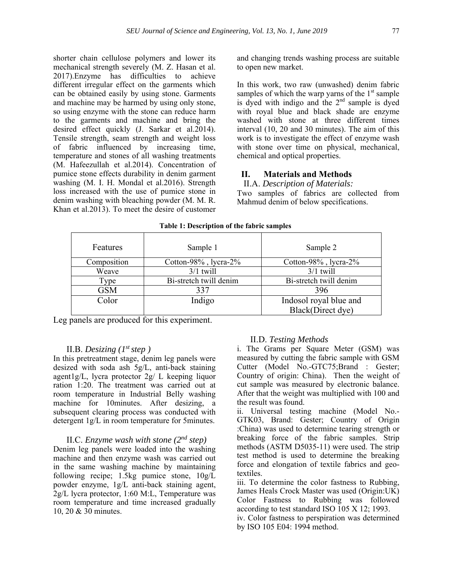shorter chain cellulose polymers and lower its mechanical strength severely (M. Z. Hasan et al. 2017).Enzyme has difficulties to achieve different irregular effect on the garments which can be obtained easily by using stone. Garments and machine may be harmed by using only stone, so using enzyme with the stone can reduce harm to the garments and machine and bring the desired effect quickly (J. Sarkar et al.2014). Tensile strength, seam strength and weight loss of fabric influenced by increasing time, temperature and stones of all washing treatments (M. Hafeezullah et al.2014). Concentration of pumice stone effects durability in denim garment washing (M. I. H. Mondal et al.2016). Strength loss increased with the use of pumice stone in denim washing with bleaching powder (M. M. R. Khan et al.2013). To meet the desire of customer

and changing trends washing process are suitable to open new market.

In this work, two raw (unwashed) denim fabric samples of which the warp yarns of the  $1<sup>st</sup>$  sample is dyed with indigo and the  $2<sup>nd</sup>$  sample is dyed with royal blue and black shade are enzyme washed with stone at three different times interval (10, 20 and 30 minutes). The aim of this work is to investigate the effect of enzyme wash with stone over time on physical, mechanical, chemical and optical properties.

### **II. Materials and Methods**

II.A. *Description of Materials:*

Two samples of fabrics are collected from Mahmud denim of below specifications.

| Features    | Sample 1               | Sample 2               |
|-------------|------------------------|------------------------|
| Composition | Cotton-98%, lycra-2%   | Cotton-98%, lycra-2%   |
| Weave       | $3/1$ twill            | $3/1$ twill            |
| Type        | Bi-stretch twill denim | Bi-stretch twill denim |
| <b>GSM</b>  | 337                    | 396                    |
| Color       | Indigo                 | Indosol royal blue and |
|             |                        | Black(Direct dye)      |

**Table 1: Description of the fabric samples**

Leg panels are produced for this experiment.

### II.B. *Desizing (1st step )*

In this pretreatment stage, denim leg panels were desized with soda ash 5g/L, anti-back staining agent1g/L, lycra protector 2g/ L keeping liquor ration 1:20. The treatment was carried out at room temperature in Industrial Belly washing machine for 10minutes. After desizing, a subsequent clearing process was conducted with detergent 1g/L in room temperature for 5minutes.

## II.C. *Enzyme wash with stone (2nd step)*

Denim leg panels were loaded into the washing machine and then enzyme wash was carried out in the same washing machine by maintaining following recipe; 1.5kg pumice stone, 10g/L powder enzyme, 1g/L anti-back staining agent, 2g/L lycra protector, 1:60 M:L, Temperature was room temperature and time increased gradually 10, 20 & 30 minutes.

#### II.D. *Testing Methods*

i. The Grams per Square Meter (GSM) was measured by cutting the fabric sample with GSM Cutter (Model No.-GTC75;Brand : Gester; Country of origin: China). Then the weight of cut sample was measured by electronic balance. After that the weight was multiplied with 100 and the result was found.

ii. Universal testing machine (Model No.- GTK03, Brand: Gester; Country of Origin :China) was used to determine tearing strength or breaking force of the fabric samples. Strip methods (ASTM D5035-11) were used. The strip test method is used to determine the breaking force and elongation of textile fabrics and geotextiles.

iii. To determine the color fastness to Rubbing, James Heals Crock Master was used (Origin:UK) Color Fastness to Rubbing was followed according to test standard ISO 105 X 12; 1993.

iv. Color fastness to perspiration was determined by ISO 105 E04: 1994 method.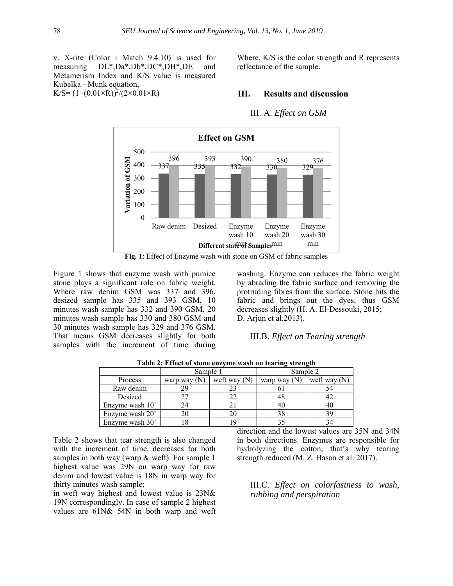v. X-rite (Color i Match 9.4.10) is used for measuring DL\*,Da\*,Db\*,DC\*,DH\*,DE and Metamerism Index and K/S value is measured Kubelka - Munk equation,  $K/S = (1-(0.01\times R))^2/(2\times0.01\times R)$ 

Where, K/S is the color strength and R represents reflectance of the sample.

#### **III. Results and discussion**

III. A. *Effect on GSM*



**Fig. 1**: Effect of Enzyme wash with stone on GSM of fabric samples

Figure 1 shows that enzyme wash with pumice stone plays a significant role on fabric weight. Where raw denim GSM was 337 and 396, desized sample has 335 and 393 GSM, 10 minutes wash sample has 332 and 390 GSM, 20 minutes wash sample has 330 and 380 GSM and 30 minutes wash sample has 329 and 376 GSM. That means GSM decreases slightly for both samples with the increment of time during

washing. Enzyme can reduces the fabric weight by abrading the fabric surface and removing the protruding fibres from the surface. Stone hits the fabric and brings out the dyes, thus GSM decreases slightly (H. A. El-Dessouki, 2015; D. Arjun et al.2013).

III.B. *Effect on Tearing strength*

|                 | Sample 1       |                | Sample 2       |                |  |  |
|-----------------|----------------|----------------|----------------|----------------|--|--|
| Process         | warp way $(N)$ | weft way $(N)$ | warp way $(N)$ | weft way $(N)$ |  |  |
| Raw denim       |                |                |                |                |  |  |
| Desized         |                |                |                |                |  |  |
| Enzyme wash 10' |                |                |                |                |  |  |
| Enzyme wash 20' |                |                |                |                |  |  |
| Enzyme wash 30' |                |                |                |                |  |  |

**Table 2: Effect of stone enzyme wash on tearing strength** 

Table 2 shows that tear strength is also changed with the increment of time, decreases for both samples in both way (warp & weft). For sample 1 highest value was 29N on warp way for raw denim and lowest value is 18N in warp way for thirty minutes wash sample;

in weft way highest and lowest value is 23N& 19N correspondingly. In case of sample 2 highest values are 61N& 54N in both warp and weft

direction and the lowest values are 35N and 34N in both directions. Enzymes are responsible for hydrolyzing the cotton, that's why tearing strength reduced (M. Z. Hasan et al. 2017).

III.C. *Effect on colorfastness to wash, rubbing and perspiration*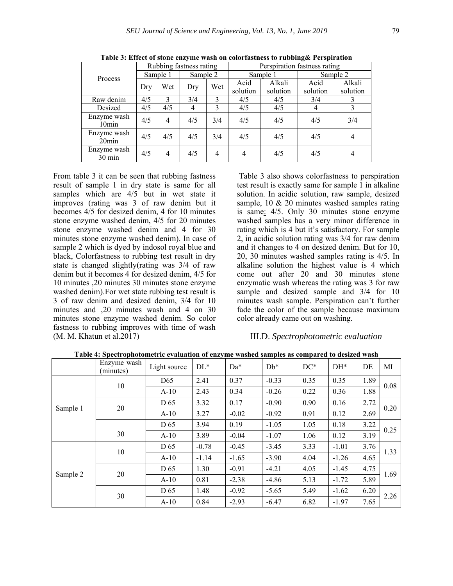| Process                         | Rubbing fastness rating |     |          |                | Perspiration fastness rating |                    |                  |                    |  |
|---------------------------------|-------------------------|-----|----------|----------------|------------------------------|--------------------|------------------|--------------------|--|
|                                 | Sample 1                |     | Sample 2 |                | Sample 1                     |                    | Sample 2         |                    |  |
|                                 | Dry                     | Wet | Dry      | Wet            | Acid<br>solution             | Alkali<br>solution | Acid<br>solution | Alkali<br>solution |  |
| Raw denim                       | 4/5                     | 3   | 3/4      | $\mathcal{E}$  | 4/5                          | 4/5                | 3/4              |                    |  |
| Desized                         | 4/5                     | 4/5 | 4        | $\mathbf{3}$   | 4/5                          | 4/5                | 4                | 3                  |  |
| Enzyme wash<br>$10$ min         | 4/5                     | 4   | 4/5      | 3/4            | 4/5                          | 4/5                | 4/5              | 3/4                |  |
| Enzyme wash<br>$20$ min         | 4/5                     | 4/5 | 4/5      | 3/4            | 4/5                          | 4/5                | 4/5              | 4                  |  |
| Enzyme wash<br>$30 \text{ min}$ | 4/5                     | 4   | 4/5      | $\overline{4}$ | 4                            | 4/5                | 4/5              | 4                  |  |

**Table 3: Effect of stone enzyme wash on colorfastness to rubbing& Perspiration** 

From table 3 it can be seen that rubbing fastness result of sample 1 in dry state is same for all samples which are  $4/5$  but in wet state it improves (rating was 3 of raw denim but it becomes 4/5 for desized denim, 4 for 10 minutes stone enzyme washed denim, 4/5 for 20 minutes stone enzyme washed denim and 4 for 30 minutes stone enzyme washed denim). In case of sample 2 which is dyed by indosol royal blue and black, Colorfastness to rubbing test result in dry state is changed slightly(rating was 3/4 of raw denim but it becomes 4 for desized denim, 4/5 for 10 minutes ,20 minutes 30 minutes stone enzyme washed denim).For wet state rubbing test result is 3 of raw denim and desized denim, 3/4 for 10 minutes and ,20 minutes wash and 4 on 30 minutes stone enzyme washed denim. So color fastness to rubbing improves with time of wash (M. M. Khatun et al.2017)

 Table 3 also shows colorfastness to perspiration test result is exactly same for sample 1 in alkaline solution. In acidic solution, raw sample, desized sample, 10 & 20 minutes washed samples rating is same: 4/5. Only 30 minutes stone enzyme washed samples has a very minor difference in rating which is 4 but it's satisfactory. For sample 2, in acidic solution rating was 3/4 for raw denim and it changes to 4 on desized denim. But for 10, 20, 30 minutes washed samples rating is 4/5. In alkaline solution the highest value is 4 which come out after 20 and 30 minutes stone enzymatic wash whereas the rating was 3 for raw sample and desized sample and 3/4 for 10 minutes wash sample. Perspiration can't further fade the color of the sample because maximum color already came out on washing.

#### III.D. *Spectrophotometric evaluation*

|          | Enzyme wash<br>(minutes) | Light source    | $DL*$   | Da*     | $Db*$   | $DC*$ | $DH^*$  | DE   | MI   |  |
|----------|--------------------------|-----------------|---------|---------|---------|-------|---------|------|------|--|
| Sample 1 | 10                       | D <sub>65</sub> | 2.41    | 0.37    | $-0.33$ | 0.35  | 0.35    | 1.89 | 0.08 |  |
|          |                          | $A-10$          | 2.43    | 0.34    | $-0.26$ | 0.22  | 0.36    | 1.88 |      |  |
|          | 20                       | D <sub>65</sub> | 3.32    | 0.17    | $-0.90$ | 0.90  | 0.16    | 2.72 | 0.20 |  |
|          |                          | $A-10$          | 3.27    | $-0.02$ | $-0.92$ | 0.91  | 0.12    | 2.69 |      |  |
|          |                          | D <sub>65</sub> | 3.94    | 0.19    | $-1.05$ | 1.05  | 0.18    | 3.22 | 0.25 |  |
|          | 30                       | $A-10$          | 3.89    | $-0.04$ | $-1.07$ | 1.06  | 0.12    | 3.19 |      |  |
| Sample 2 | 10                       | D <sub>65</sub> | $-0.78$ | $-0.45$ | $-3.45$ | 3.33  | $-1.01$ | 3.76 | 1.33 |  |
|          |                          | $A-10$          | $-1.14$ | $-1.65$ | $-3.90$ | 4.04  | $-1.26$ | 4.65 |      |  |
|          | 20                       | D <sub>65</sub> | 1.30    | $-0.91$ | $-4.21$ | 4.05  | $-1.45$ | 4.75 | 1.69 |  |
|          |                          | $A-10$          | 0.81    | $-2.38$ | $-4.86$ | 5.13  | $-1.72$ | 5.89 |      |  |
|          | 30                       | D <sub>65</sub> | 1.48    | $-0.92$ | $-5.65$ | 5.49  | $-1.62$ | 6.20 |      |  |
|          |                          | $A-10$          | 0.84    | $-2.93$ | $-6.47$ | 6.82  | $-1.97$ | 7.65 | 2.26 |  |

**Table 4: Spectrophotometric evaluation of enzyme washed samples as compared to desized wash**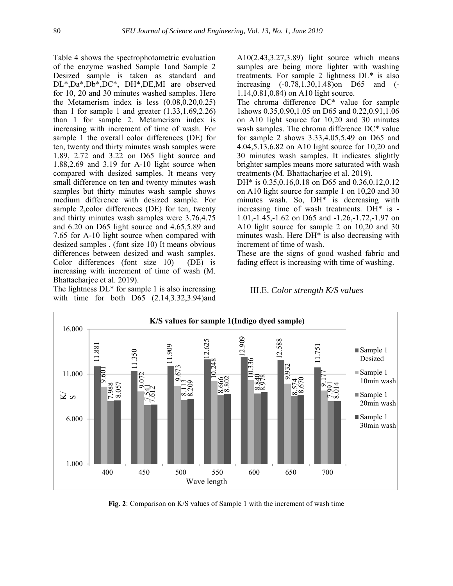Table 4 shows the spectrophotometric evaluation of the enzyme washed Sample 1and Sample 2 Desized sample is taken as standard and DL\*,Da\*,Db\*,DC\*, DH\*,DE,MI are observed for 10, 20 and 30 minutes washed samples. Here the Metamerism index is less (0.08,0.20,0.25) than 1 for sample 1 and greater  $(1.33, 1.69, 2.26)$ than 1 for sample 2. Metamerism index is increasing with increment of time of wash. For sample 1 the overall color differences (DE) for ten, twenty and thirty minutes wash samples were 1.89, 2.72 and 3.22 on D65 light source and 1.88,2.69 and 3.19 for A-10 light source when compared with desized samples. It means very small difference on ten and twenty minutes wash samples but thirty minutes wash sample shows medium difference with desized sample. For sample 2,color differences (DE) for ten, twenty and thirty minutes wash samples were 3.76,4.75 and 6.20 on D65 light source and 4.65,5.89 and 7.65 for A-10 light source when compared with desized samples . (font size 10) It means obvious differences between desized and wash samples. Color differences (font size 10) (DE) is increasing with increment of time of wash (M. Bhattacharjee et al. 2019).

The lightness  $DL*$  for sample 1 is also increasing with time for both D65 (2.14,3.32,3.94)and A10(2.43,3.27,3.89) light source which means samples are being more lighter with washing treatments. For sample 2 lightness DL\* is also increasing (-0.78,1.30,1.48)on D65 and (- 1.14,0.81,0.84) on A10 light source.

The chroma difference DC\* value for sample 1shows 0.35,0.90,1.05 on D65 and 0.22,0.91,1.06 on A10 light source for 10,20 and 30 minutes wash samples. The chroma difference DC\* value for sample 2 shows 3.33,4.05,5.49 on D65 and 4.04,5.13,6.82 on A10 light source for 10,20 and 30 minutes wash samples. It indicates slightly brighter samples means more saturated with wash treatments (M. Bhattacharjee et al. 2019).

DH\* is 0.35,0.16,0.18 on D65 and 0.36,0.12,0.12 on A10 light source for sample 1 on 10,20 and 30 minutes wash. So, DH\* is decreasing with increasing time of wash treatments. DH\* is - 1.01,-1.45,-1.62 on D65 and -1.26,-1.72,-1.97 on A10 light source for sample 2 on 10,20 and 30 minutes wash. Here DH\* is also decreasing with increment of time of wash.

These are the signs of good washed fabric and fading effect is increasing with time of washing.

#### III.E. *Color strength K/S values*



**Fig. 2**: Comparison on K/S values of Sample 1 with the increment of wash time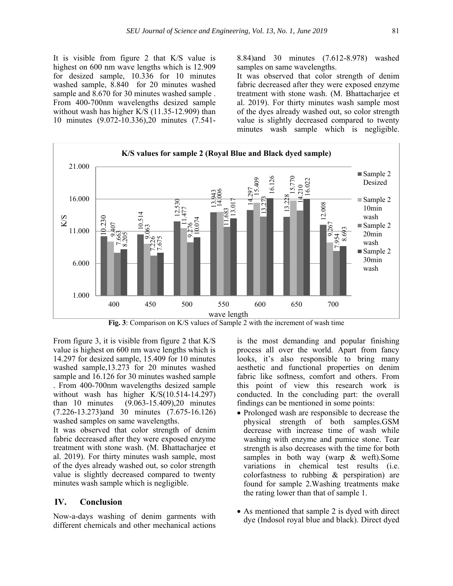It is visible from figure 2 that K/S value is highest on 600 nm wave lengths which is 12.909 for desized sample, 10.336 for 10 minutes washed sample, 8.840 for 20 minutes washed sample and  $8.670$  for 30 minutes washed sample. From 400-700nm wavelengths desized sample without wash has higher K/S (11.35-12.909) than 10 minutes (9.072-10.336),20 minutes (7.5418.84)and 30 minutes (7.612-8.978) washed samples on same wavelengths.

It was observed that color strength of denim fabric decreased after they were exposed enzyme treatment with stone wash. (M. Bhattacharjee et al. 2019). For thirty minutes wash sample most of the dyes already washed out, so color strength value is slightly decreased compared to twenty minutes wash sample which is negligible.



From figure 3, it is visible from figure 2 that K/S value is highest on 600 nm wave lengths which is 14.297 for desized sample, 15.409 for 10 minutes washed sample,13.273 for 20 minutes washed sample and 16.126 for 30 minutes washed sample . From 400-700nm wavelengths desized sample without wash has higher  $K/S(10.514-14.297)$ <br>than 10 minutes  $(9.063-15.409).20$  minutes  $(9.063-15.409)$ ,20 minutes (7.226-13.273)and 30 minutes (7.675-16.126) washed samples on same wavelengths.

It was observed that color strength of denim fabric decreased after they were exposed enzyme treatment with stone wash. (M. Bhattacharjee et al. 2019). For thirty minutes wash sample, most of the dyes already washed out, so color strength value is slightly decreased compared to twenty minutes wash sample which is negligible.

## **IV. Conclusion**

Now-a-days washing of denim garments with different chemicals and other mechanical actions

is the most demanding and popular finishing process all over the world. Apart from fancy looks, it's also responsible to bring many aesthetic and functional properties on denim fabric like softness, comfort and others. From this point of view this research work is conducted. In the concluding part: the overall findings can be mentioned in some points:

- Prolonged wash are responsible to decrease the physical strength of both samples.GSM decrease with increase time of wash while washing with enzyme and pumice stone. Tear strength is also decreases with the time for both samples in both way (warp & weft).Some variations in chemical test results (i.e. colorfastness to rubbing & perspiration) are found for sample 2.Washing treatments make the rating lower than that of sample 1.
- As mentioned that sample 2 is dyed with direct dye (Indosol royal blue and black). Direct dyed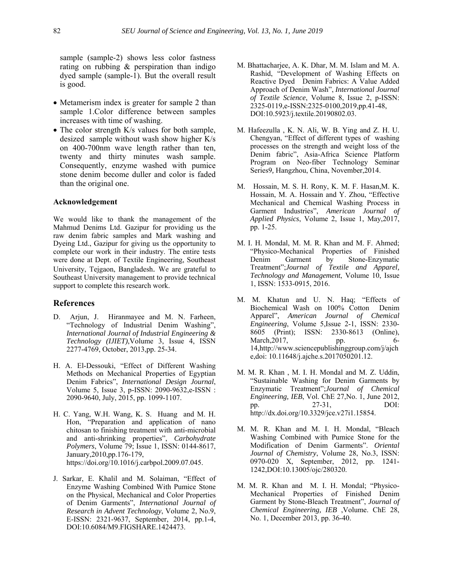sample (sample-2) shows less color fastness rating on rubbing & perspiration than indigo dyed sample (sample-1). But the overall result is good.

- Metamerism index is greater for sample 2 than sample 1.Color difference between samples increases with time of washing.
- The color strength K/s values for both sample, desized sample without wash show higher K/s on 400-700nm wave length rather than ten, twenty and thirty minutes wash sample. Consequently, enzyme washed with pumice stone denim become duller and color is faded than the original one.

#### **Acknowledgement**

We would like to thank the management of the Mahmud Denims Ltd. Gazipur for providing us the raw denim fabric samples and Mark washing and Dyeing Ltd., Gazipur for giving us the opportunity to complete our work in their industry. The entire tests were done at Dept. of Textile Engineering, Southeast University, Tejgaon, Bangladesh. We are grateful to Southeast University management to provide technical support to complete this research work.

#### **References**

- D. Arjun, J. Hiranmayee and M. N. Farheen, "Technology of Industrial Denim Washing", *International Journal of Industrial Engineering & Technology (IJIET)*,Volume 3, Issue 4, ISSN 2277-4769, October, 2013,pp. 25-34.
- H. A. El-Dessouki, "Effect of Different Washing Methods on Mechanical Properties of Egyptian Denim Fabrics", *International Design Journal*, Volume 5, Issue 3, p-ISSN: 2090-9632,e-ISSN : 2090-9640, July, 2015, pp. 1099-1107.
- H. C. Yang, W.H. Wang, K. S. Huang and M. H. Hon, "Preparation and application of nano chitosan to finishing treatment with anti-microbial and anti-shrinking properties", *Carbohydrate Polymers*, Volume 79; Issue 1, ISSN: 0144-8617, January,2010,pp.176-179, https://doi.org/10.1016/j.carbpol.2009.07.045.
- J. Sarkar, E. Khalil and M. Solaiman, "Effect of Enzyme Washing Combined With Pumice Stone on the Physical, Mechanical and Color Properties of Denim Garments", *International Journal of Research in Advent Technology*, Volume 2, No.9, E-ISSN: 2321-9637, September, 2014, pp.1-4, DOI:10.6084/M9.FIGSHARE.1424473.
- M. Bhattacharjee, A. K. Dhar, M. M. Islam and M. A. Rashid, "Development of Washing Effects on Reactive Dyed Denim Fabrics: A Value Added Approach of Denim Wash", *International Journal of Textile Science*, Volume 8, Issue 2, p-ISSN: 2325-0119,e-ISSN:2325-0100,2019,pp.41-48, DOI:10.5923/j.textile.20190802.03.
- M. Hafeezulla , K. N. Ali, W. B. Ying and Z. H. U. Chengyan, "Effect of different types of washing processes on the strength and weight loss of the Denim fabric", Asia-Africa Science Platform Program on Neo-fiber Technology Seminar Series9*,* Hangzhou, China, November,2014.
- M. Hossain, M. S. H. Rony, K. M. F. Hasan,M. K. Hossain, M. A. Hossain and Y. Zhou, "Effective Mechanical and Chemical Washing Process in Garment Industries", *American Journal of Applied Physics*, Volume 2, Issue 1, May,2017, pp. 1-25.
- M. I. H. Mondal, M. M. R. Khan and M. F. Ahmed; "Physico-Mechanical Properties of Finished Denim Garment by Stone-Enzymatic Treatment";*Journal of Textile and Apparel, Technology and Management*, Volume 10, Issue 1, ISSN: 1533-0915, 2016.
- M. M. Khatun and U. N. Haq; "Effects of Biochemical Wash on 100% Cotton Denim Apparel", *American Journal of Chemical Engineering*, Volume 5,Issue 2-1, ISSN: 2330- 8605 (Print); ISSN: 2330-8613 (Online), March, 2017, pp. 6-14,http://www.sciencepublishinggroup.com/j/ajch e,doi: 10.11648/j.ajche.s.2017050201.12.
- M. M. R. Khan , M. I. H. Mondal and M. Z. Uddin, "Sustainable Washing for Denim Garments by Enzymatic Treatment";*Journal of Chemical Engineering, IEB*, Vol. ChE 27,No. 1, June 2012, pp. 27-31, DOI: http://dx.doi.org/10.3329/jce.v27i1.15854.
- M. M. R. Khan and M. I. H. Mondal, "Bleach Washing Combined with Pumice Stone for the Modification of Denim Garments". *Oriental Journal of Chemistry*, Volume 28, No.3, ISSN: 0970-020 X, September, 2012, pp. 1241- 1242,DOI:10.13005/ojc/280320.
- M. M. R. Khan and M. I. H. Mondal; "Physico-Mechanical Properties of Finished Denim Garment by Stone-Bleach Treatment", *Journal of Chemical Engineering, IEB* ,Volume. ChE 28, No. 1, December 2013, pp. 36-40.